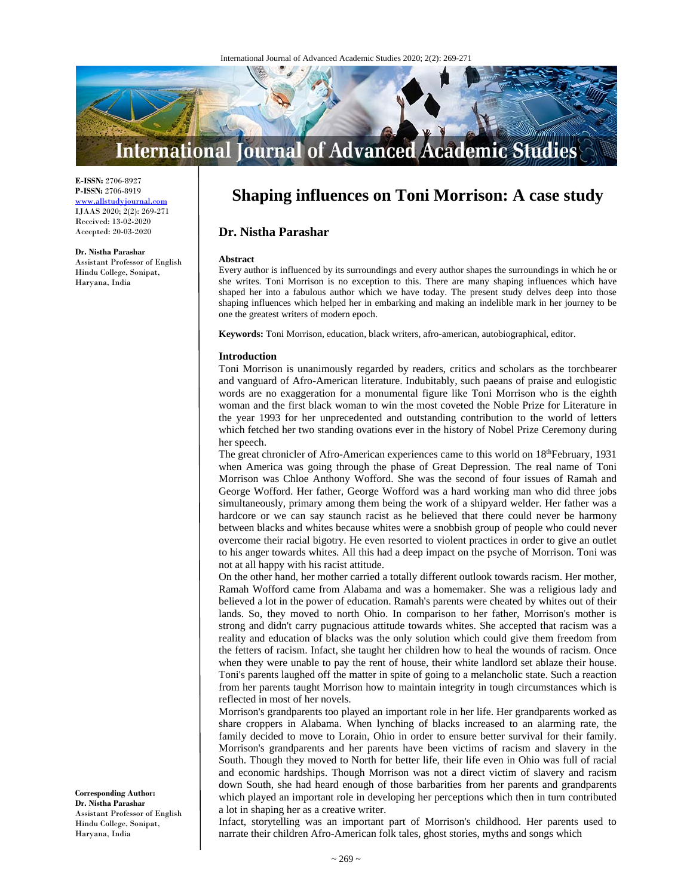

**E-ISSN:** 2706-8927 **P-ISSN:** 2706-8919 www.allstudyjournal.com IJAAS 2020; 2(2): 269-271 Received: 13-02-2020 Accepted: 20-03-2020

#### **Dr. Nistha Parashar**

Assistant Professor of English Hindu College, Sonipat, Haryana, India

# **Shaping influences on Toni Morrison: A case study**

## **Dr. Nistha Parashar**

#### **Abstract**

Every author is influenced by its surroundings and every author shapes the surroundings in which he or she writes. Toni Morrison is no exception to this. There are many shaping influences which have shaped her into a fabulous author which we have today. The present study delves deep into those shaping influences which helped her in embarking and making an indelible mark in her journey to be one the greatest writers of modern epoch.

**Keywords:** Toni Morrison, education, black writers, afro-american, autobiographical, editor.

#### **Introduction**

Toni Morrison is unanimously regarded by readers, critics and scholars as the torchbearer and vanguard of Afro-American literature. Indubitably, such paeans of praise and eulogistic words are no exaggeration for a monumental figure like Toni Morrison who is the eighth woman and the first black woman to win the most coveted the Noble Prize for Literature in the year 1993 for her unprecedented and outstanding contribution to the world of letters which fetched her two standing ovations ever in the history of Nobel Prize Ceremony during her speech.

The great chronicler of Afro-American experiences came to this world on 18<sup>th</sup>February, 1931 when America was going through the phase of Great Depression. The real name of Toni Morrison was Chloe Anthony Wofford. She was the second of four issues of Ramah and George Wofford. Her father, George Wofford was a hard working man who did three jobs simultaneously, primary among them being the work of a shipyard welder. Her father was a hardcore or we can say staunch racist as he believed that there could never be harmony between blacks and whites because whites were a snobbish group of people who could never overcome their racial bigotry. He even resorted to violent practices in order to give an outlet to his anger towards whites. All this had a deep impact on the psyche of Morrison. Toni was not at all happy with his racist attitude.

On the other hand, her mother carried a totally different outlook towards racism. Her mother, Ramah Wofford came from Alabama and was a homemaker. She was a religious lady and believed a lot in the power of education. Ramah's parents were cheated by whites out of their lands. So, they moved to north Ohio. In comparison to her father, Morrison's mother is strong and didn't carry pugnacious attitude towards whites. She accepted that racism was a reality and education of blacks was the only solution which could give them freedom from the fetters of racism. Infact, she taught her children how to heal the wounds of racism. Once when they were unable to pay the rent of house, their white landlord set ablaze their house. Toni's parents laughed off the matter in spite of going to a melancholic state. Such a reaction from her parents taught Morrison how to maintain integrity in tough circumstances which is reflected in most of her novels.

Morrison's grandparents too played an important role in her life. Her grandparents worked as share croppers in Alabama. When lynching of blacks increased to an alarming rate, the family decided to move to Lorain, Ohio in order to ensure better survival for their family. Morrison's grandparents and her parents have been victims of racism and slavery in the South. Though they moved to North for better life, their life even in Ohio was full of racial and economic hardships. Though Morrison was not a direct victim of slavery and racism down South, she had heard enough of those barbarities from her parents and grandparents which played an important role in developing her perceptions which then in turn contributed a lot in shaping her as a creative writer.

Infact, storytelling was an important part of Morrison's childhood. Her parents used to narrate their children Afro-American folk tales, ghost stories, myths and songs which

**Corresponding Author: Dr. Nistha Parashar**  Assistant Professor of English Hindu College, Sonipat, Haryana, India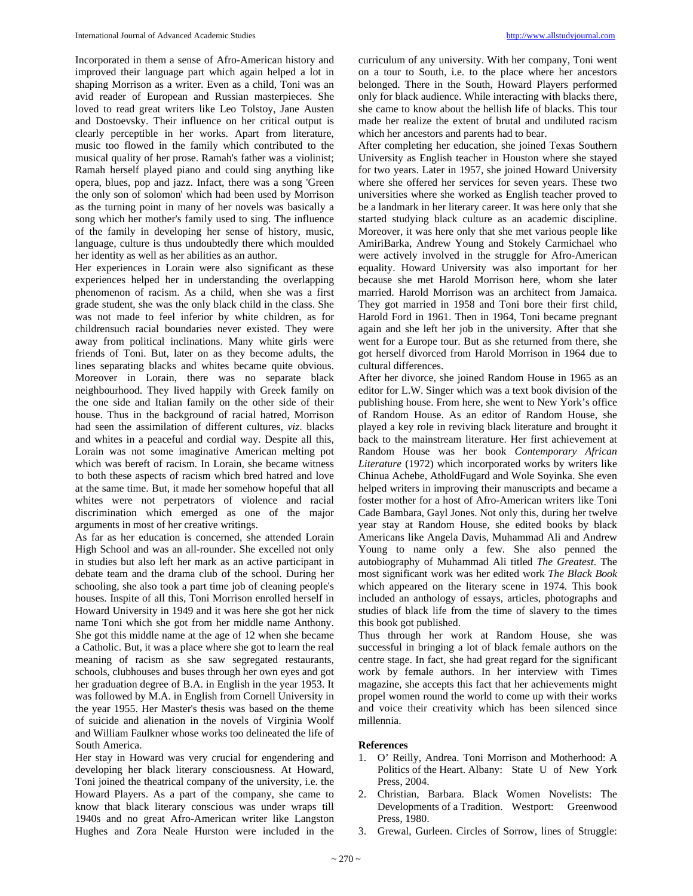Incorporated in them a sense of Afro-American history and improved their language part which again helped a lot in shaping Morrison as a writer. Even as a child, Toni was an avid reader of European and Russian masterpieces. She loved to read great writers like Leo Tolstoy, Jane Austen and Dostoevsky. Their influence on her critical output is clearly perceptible in her works. Apart from literature, music too flowed in the family which contributed to the musical quality of her prose. Ramah's father was a violinist; Ramah herself played piano and could sing anything like opera, blues, pop and jazz. Infact, there was a song 'Green the only son of solomon' which had been used by Morrison as the turning point in many of her novels was basically a song which her mother's family used to sing. The influence of the family in developing her sense of history, music, language, culture is thus undoubtedly there which moulded her identity as well as her abilities as an author.

Her experiences in Lorain were also significant as these experiences helped her in understanding the overlapping phenomenon of racism. As a child, when she was a first grade student, she was the only black child in the class. She was not made to feel inferior by white children, as for childrensuch racial boundaries never existed. They were away from political inclinations. Many white girls were friends of Toni. But, later on as they become adults, the lines separating blacks and whites became quite obvious. Moreover in Lorain, there was no separate black neighbourhood. They lived happily with Greek family on the one side and Italian family on the other side of their house. Thus in the background of racial hatred, Morrison had seen the assimilation of different cultures, *viz*. blacks and whites in a peaceful and cordial way. Despite all this, Lorain was not some imaginative American melting pot which was bereft of racism. In Lorain, she became witness to both these aspects of racism which bred hatred and love at the same time. But, it made her somehow hopeful that all whites were not perpetrators of violence and racial discrimination which emerged as one of the major arguments in most of her creative writings.

As far as her education is concerned, she attended Lorain High School and was an all-rounder. She excelled not only in studies but also left her mark as an active participant in debate team and the drama club of the school. During her schooling, she also took a part time job of cleaning people's houses. Inspite of all this, Toni Morrison enrolled herself in Howard University in 1949 and it was here she got her nick name Toni which she got from her middle name Anthony. She got this middle name at the age of 12 when she became a Catholic. But, it was a place where she got to learn the real meaning of racism as she saw segregated restaurants, schools, clubhouses and buses through her own eyes and got her graduation degree of B.A. in English in the year 1953. It was followed by M.A. in English from Cornell University in the year 1955. Her Master's thesis was based on the theme of suicide and alienation in the novels of Virginia Woolf and William Faulkner whose works too delineated the life of South America.

Her stay in Howard was very crucial for engendering and developing her black literary consciousness. At Howard, Toni joined the theatrical company of the university, i.e. the Howard Players. As a part of the company, she came to know that black literary conscious was under wraps till 1940s and no great Afro-American writer like Langston Hughes and Zora Neale Hurston were included in the

curriculum of any university. With her company, Toni went on a tour to South, i.e. to the place where her ancestors belonged. There in the South, Howard Players performed only for black audience. While interacting with blacks there, she came to know about the hellish life of blacks. This tour made her realize the extent of brutal and undiluted racism which her ancestors and parents had to bear.

After completing her education, she joined Texas Southern University as English teacher in Houston where she stayed for two years. Later in 1957, she joined Howard University where she offered her services for seven years. These two universities where she worked as English teacher proved to be a landmark in her literary career. It was here only that she started studying black culture as an academic discipline. Moreover, it was here only that she met various people like AmiriBarka, Andrew Young and Stokely Carmichael who were actively involved in the struggle for Afro-American equality. Howard University was also important for her because she met Harold Morrison here, whom she later married. Harold Morrison was an architect from Jamaica. They got married in 1958 and Toni bore their first child, Harold Ford in 1961. Then in 1964, Toni became pregnant again and she left her job in the university. After that she went for a Europe tour. But as she returned from there, she got herself divorced from Harold Morrison in 1964 due to cultural differences.

After her divorce, she joined Random House in 1965 as an editor for L.W. Singer which was a text book division of the publishing house. From here, she went to New York's office of Random House. As an editor of Random House, she played a key role in reviving black literature and brought it back to the mainstream literature. Her first achievement at Random House was her book *Contemporary African Literature* (1972) which incorporated works by writers like Chinua Achebe, AtholdFugard and Wole Soyinka. She even helped writers in improving their manuscripts and became a foster mother for a host of Afro-American writers like Toni Cade Bambara, Gayl Jones. Not only this, during her twelve year stay at Random House, she edited books by black Americans like Angela Davis, Muhammad Ali and Andrew Young to name only a few. She also penned the autobiography of Muhammad Ali titled *The Greatest*. The most significant work was her edited work *The Black Book*  which appeared on the literary scene in 1974. This book included an anthology of essays, articles, photographs and studies of black life from the time of slavery to the times this book got published.

Thus through her work at Random House, she was successful in bringing a lot of black female authors on the centre stage. In fact, she had great regard for the significant work by female authors. In her interview with Times magazine, she accepts this fact that her achievements might propel women round the world to come up with their works and voice their creativity which has been silenced since millennia.

### **References**

- 1. O' Reilly, Andrea. Toni Morrison and Motherhood: A Politics of the Heart. Albany: State U of New York Press, 2004.
- 2. Christian, Barbara. Black Women Novelists: The Developments of a Tradition. Westport: Greenwood Press, 1980.
- 3. Grewal, Gurleen. Circles of Sorrow, lines of Struggle: